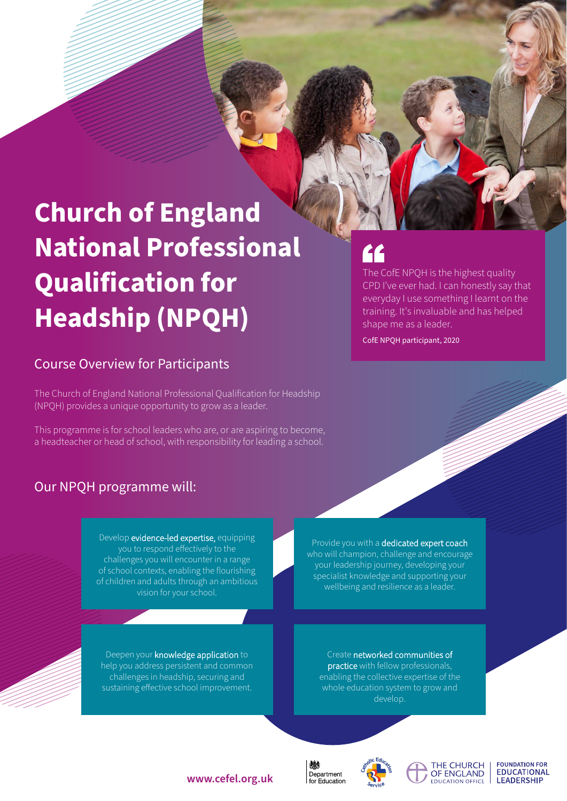# **Church of England National Professional Qualification for Headship (NPQH)**

# Course Overview for Participants

The Church of England National Professional Qualification for Headship (NPQH) provides a unique opportunity to grow as a leader.

This programme is for school leaders who are, or are aspiring to become, a headteacher or head of school, with responsibility for leading a school.

# Our NPQH programme will:

Develop evidence-led expertise, equipping you to respond effectively to the challenges you will encounter in a range of school contexts, enabling the flourishing of children and adults through an ambitious vision for your school.

Deepen your knowledge application to help you address persistent and common challenges in headship, securing and sustaining effective school improvement.

Provide you with a dedicated expert coach who will champion, challenge and encourage your leadership journey, developing your specialist knowledge and supporting your wellbeing and resilience as a leader.

Create networked communities of practice with fellow professionals, enabling the collective expertise of the whole education system to grow and develop.



抛





**FOUNDATION FOR EDUCATIONAL LEADERSHIP** 

### **www.cefel.org.uk**

# $\mathsf{C}_\mathsf{I}$

The CofE NPQH is the highest quality CPD I've ever had. I can honestly say that everyday I use something I learnt on the training. It's invaluable and has helped shape me as a leader.

CofE NPQH participant, 2020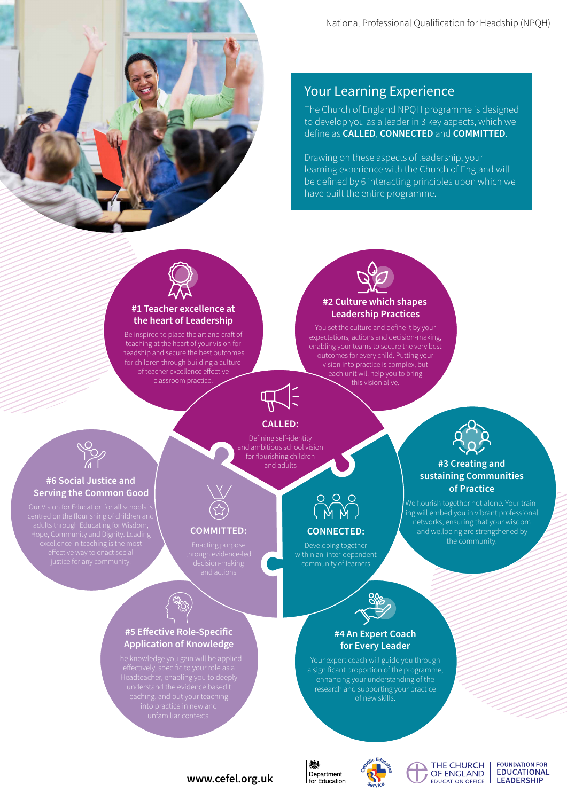

## Your Learning Experience

The Church of England NPQH programme is designed to develop you as a leader in 3 key aspects, which we define as **CALLED**, **CONNECTED** and **COMMITTED**.

Drawing on these aspects of leadership, your learning experience with the Church of England will be defined by 6 interacting principles upon which we have built the entire programme.

# **#1 Teacher excellence at the heart of Leadership**

Be inspired to place the art and craft of teaching at the heart of your vision for headship and secure the best outcomes for children through building a culture of teacher excellence effective classroom practice.



You set the culture and define it by your expectations, actions and decision-making, enabling your teams to secure the very best outcomes for every child. Putting your vision into practice is complex, but each unit will help you to bring this vision alive.



### **CALLED:**

Defining self-identity and ambitious school vision for flourishing children and adults



**#3 Creating and sustaining Communities of Practice** We flourish together not alone. Your training will embed you in vibrant professional networks, ensuring that your wisdom and wellbeing are strengthened by

#### **#6 Social Justice and Serving the Common Good**



#### **COMMITTED:**

# **CONNECTED:**

Developing together



#### **#4 An Expert Coach for Every Leader**

Your expert coach will guide you through a significant proportion of the programme, enhancing your understanding of the research and supporting your practice of new skills.







#### **FOUNDATION FOR EDUCATIONAL LEADERSHIP**

### **www.cefel.org.uk**

**#5 Effective Role-Specific Application of Knowledge**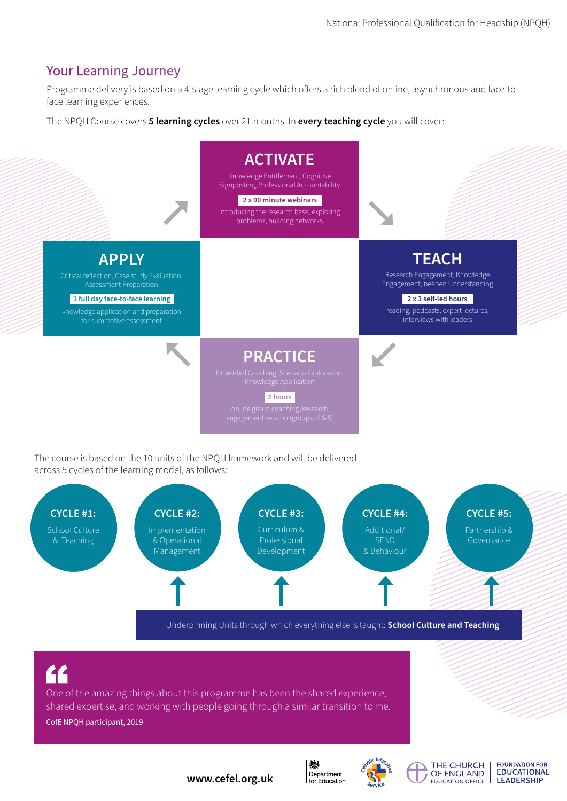# Your Learning Journey

Programme delivery is based on a 4-stage learning cycle which offers a rich blend of online, asynchronous and face-toface learning experiences.

The NPQH Course covers **5 learning cycles** over 21 months. In **every teaching cycle** you will cover:



**www.cefel.org.uk**







**FOUNDATION FOR** 

**EDUCATIONAL** 

**LEADERSHIP**